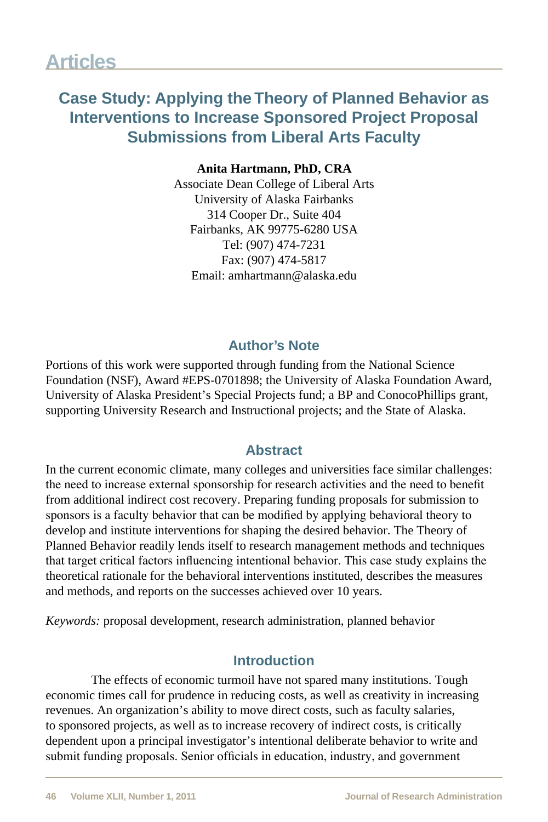## **Case Study: Applying the Theory of Planned Behavior as Interventions to Increase Sponsored Project Proposal Submissions from Liberal Arts Faculty**

**Anita Hartmann, PhD, CRA** Associate Dean College of Liberal Arts University of Alaska Fairbanks 314 Cooper Dr., Suite 404 Fairbanks, AK 99775-6280 USA Tel: (907) 474-7231 Fax: (907) 474-5817 Email: amhartmann@alaska.edu

## **Author's Note**

Portions of this work were supported through funding from the National Science Foundation (NSF), Award #EPS-0701898; the University of Alaska Foundation Award, University of Alaska President's Special Projects fund; a BP and ConocoPhillips grant, supporting University Research and Instructional projects; and the State of Alaska.

### **Abstract**

In the current economic climate, many colleges and universities face similar challenges: the need to increase external sponsorship for research activities and the need to benefit from additional indirect cost recovery. Preparing funding proposals for submission to sponsors is a faculty behavior that can be modified by applying behavioral theory to develop and institute interventions for shaping the desired behavior. The Theory of Planned Behavior readily lends itself to research management methods and techniques that target critical factors influencing intentional behavior. This case study explains the theoretical rationale for the behavioral interventions instituted, describes the measures and methods, and reports on the successes achieved over 10 years.

*Keywords:* proposal development, research administration, planned behavior

### **Introduction**

The effects of economic turmoil have not spared many institutions. Tough economic times call for prudence in reducing costs, as well as creativity in increasing revenues. An organization's ability to move direct costs, such as faculty salaries, to sponsored projects, as well as to increase recovery of indirect costs, is critically dependent upon a principal investigator's intentional deliberate behavior to write and submit funding proposals. Senior officials in education, industry, and government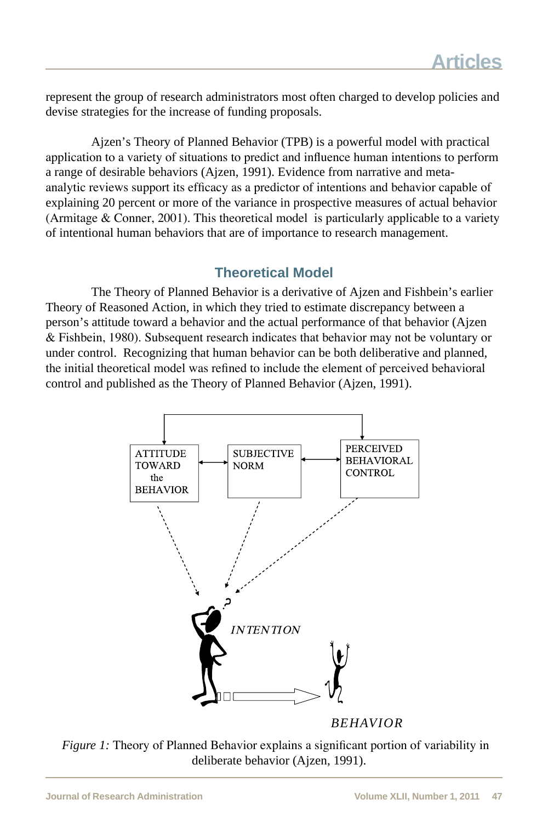represent the group of research administrators most often charged to develop policies and devise strategies for the increase of funding proposals.

Ajzen's Theory of Planned Behavior (TPB) is a powerful model with practical application to a variety of situations to predict and influence human intentions to perform a range of desirable behaviors (Ajzen, 1991). Evidence from narrative and metaanalytic reviews support its efficacy as a predictor of intentions and behavior capable of explaining 20 percent or more of the variance in prospective measures of actual behavior (Armitage & Conner, 2001). This theoretical model is particularly applicable to a variety of intentional human behaviors that are of importance to research management.

### **Theoretical Model**

The Theory of Planned Behavior is a derivative of Ajzen and Fishbein's earlier Theory of Reasoned Action, in which they tried to estimate discrepancy between a person's attitude toward a behavior and the actual performance of that behavior (Ajzen & Fishbein, 1980). Subsequent research indicates that behavior may not be voluntary or under control. Recognizing that human behavior can be both deliberative and planned, the initial theoretical model was refined to include the element of perceived behavioral control and published as the Theory of Planned Behavior (Ajzen, 1991).



*BEHAVIOR*

*Figure 1:* Theory of Planned Behavior explains a significant portion of variability in deliberate behavior (Ajzen, 1991).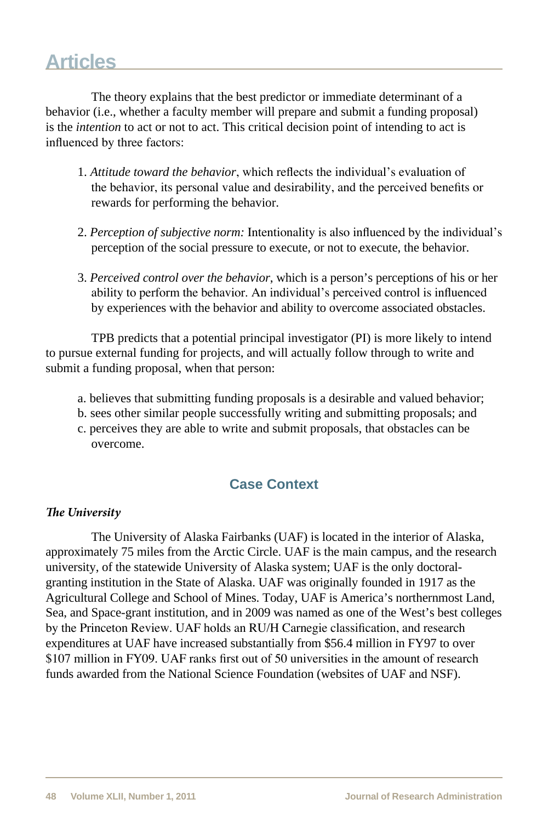The theory explains that the best predictor or immediate determinant of a behavior (i.e., whether a faculty member will prepare and submit a funding proposal) is the *intention* to act or not to act. This critical decision point of intending to act is influenced by three factors:

- 1. *Attitude toward the behavior*, which reflects the individual's evaluation of the behavior, its personal value and desirability, and the perceived benefits or rewards for performing the behavior.
- 2. *Perception of subjective norm:* Intentionality is also influenced by the individual's perception of the social pressure to execute, or not to execute, the behavior.
- 3. *Perceived control over the behavior*, which is a person's perceptions of his or her ability to perform the behavior. An individual's perceived control is influenced by experiences with the behavior and ability to overcome associated obstacles.

TPB predicts that a potential principal investigator (PI) is more likely to intend to pursue external funding for projects, and will actually follow through to write and submit a funding proposal, when that person:

- a. believes that submitting funding proposals is a desirable and valued behavior;
- b. sees other similar people successfully writing and submitting proposals; and
- c. perceives they are able to write and submit proposals, that obstacles can be overcome.

## **Case Context**

#### *The University*

The University of Alaska Fairbanks (UAF) is located in the interior of Alaska, approximately 75 miles from the Arctic Circle. UAF is the main campus, and the research university, of the statewide University of Alaska system; UAF is the only doctoralgranting institution in the State of Alaska. UAF was originally founded in 1917 as the Agricultural College and School of Mines. Today, UAF is America's northernmost Land, Sea, and Space-grant institution, and in 2009 was named as one of the West's best colleges by the Princeton Review. UAF holds an RU/H Carnegie classification, and research expenditures at UAF have increased substantially from \$56.4 million in FY97 to over \$107 million in FY09. UAF ranks first out of 50 universities in the amount of research funds awarded from the National Science Foundation (websites of UAF and NSF).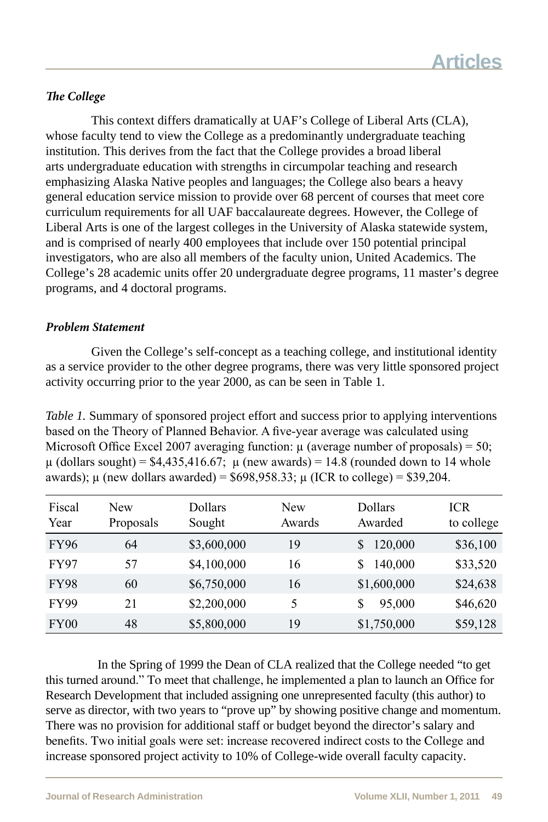#### *The College*

This context differs dramatically at UAF's College of Liberal Arts (CLA), whose faculty tend to view the College as a predominantly undergraduate teaching institution. This derives from the fact that the College provides a broad liberal arts undergraduate education with strengths in circumpolar teaching and research emphasizing Alaska Native peoples and languages; the College also bears a heavy general education service mission to provide over 68 percent of courses that meet core curriculum requirements for all UAF baccalaureate degrees. However, the College of Liberal Arts is one of the largest colleges in the University of Alaska statewide system, and is comprised of nearly 400 employees that include over 150 potential principal investigators, who are also all members of the faculty union, United Academics. The College's 28 academic units offer 20 undergraduate degree programs, 11 master's degree programs, and 4 doctoral programs.

#### *Problem Statement*

Given the College's self-concept as a teaching college, and institutional identity as a service provider to the other degree programs, there was very little sponsored project activity occurring prior to the year 2000, as can be seen in Table 1.

*Table 1.* Summary of sponsored project effort and success prior to applying interventions based on the Theory of Planned Behavior. A five-year average was calculated using Microsoft Office Excel 2007 averaging function:  $\mu$  (average number of proposals) = 50;  $\mu$  (dollars sought) = \$4,435,416.67;  $\mu$  (new awards) = 14.8 (rounded down to 14 whole awards);  $\mu$  (new dollars awarded) = \$698,958.33;  $\mu$  (ICR to college) = \$39,204.

| Fiscal<br>Year | New<br>Proposals | Dollars<br>Sought | New<br>Awards | Dollars<br>Awarded | ICR<br>to college |
|----------------|------------------|-------------------|---------------|--------------------|-------------------|
| <b>FY96</b>    | 64               | \$3,600,000       | 19            | 120,000<br>S.      | \$36,100          |
| <b>FY97</b>    | 57               | \$4,100,000       | 16            | 140,000            | \$33,520          |
| <b>FY98</b>    | 60               | \$6,750,000       | 16            | \$1,600,000        | \$24,638          |
| <b>FY99</b>    | 21               | \$2,200,000       | 5             | 95,000<br>S        | \$46,620          |
| FY00           | 48               | \$5,800,000       | 19            | \$1,750,000        | \$59,128          |

 In the Spring of 1999 the Dean of CLA realized that the College needed "to get this turned around." To meet that challenge, he implemented a plan to launch an Office for Research Development that included assigning one unrepresented faculty (this author) to serve as director, with two years to "prove up" by showing positive change and momentum. There was no provision for additional staff or budget beyond the director's salary and benefits. Two initial goals were set: increase recovered indirect costs to the College and increase sponsored project activity to 10% of College-wide overall faculty capacity.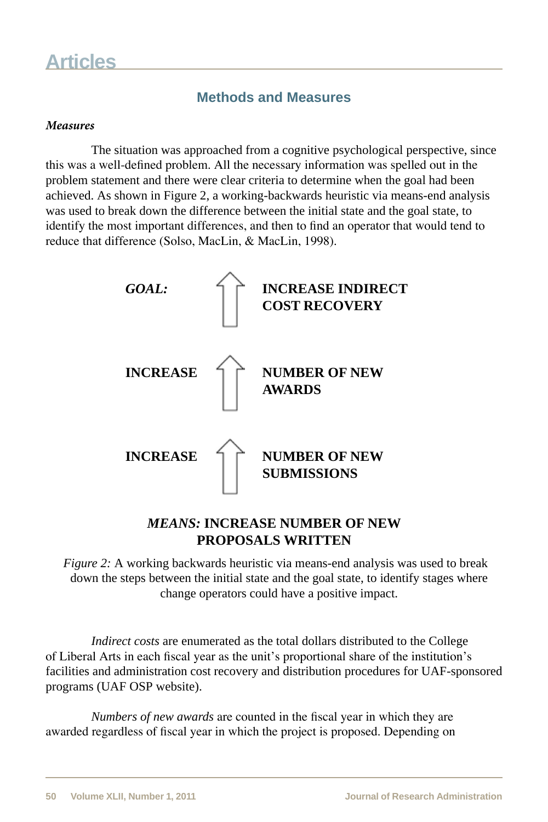## **Methods and Measures**

#### *Measures*

The situation was approached from a cognitive psychological perspective, since this was a well-defined problem. All the necessary information was spelled out in the problem statement and there were clear criteria to determine when the goal had been achieved. As shown in Figure 2, a working-backwards heuristic via means-end analysis was used to break down the difference between the initial state and the goal state, to identify the most important differences, and then to find an operator that would tend to reduce that difference (Solso, MacLin, & MacLin, 1998).



### *MEANS:* **INCREASE NUMBER OF NEW PROPOSALS WRITTEN**

 *Figure 2:* A working backwards heuristic via means-end analysis was used to break down the steps between the initial state and the goal state, to identify stages where change operators could have a positive impact.

*Indirect costs* are enumerated as the total dollars distributed to the College of Liberal Arts in each fiscal year as the unit's proportional share of the institution's facilities and administration cost recovery and distribution procedures for UAF-sponsored programs (UAF OSP website).

*Numbers of new awards* are counted in the fiscal year in which they are awarded regardless of fiscal year in which the project is proposed. Depending on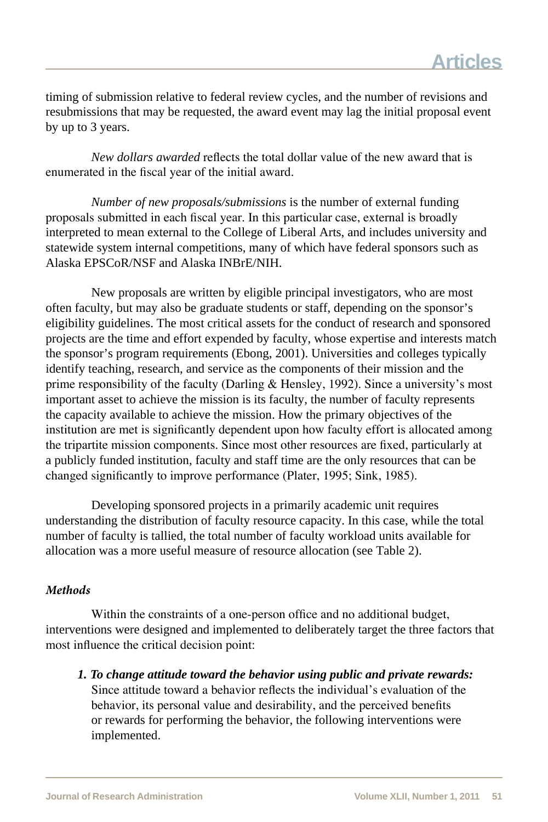timing of submission relative to federal review cycles, and the number of revisions and resubmissions that may be requested, the award event may lag the initial proposal event by up to 3 years.

*New dollars awarded* reflects the total dollar value of the new award that is enumerated in the fiscal year of the initial award.

*Number of new proposals/submissions* is the number of external funding proposals submitted in each fiscal year. In this particular case, external is broadly interpreted to mean external to the College of Liberal Arts, and includes university and statewide system internal competitions, many of which have federal sponsors such as Alaska EPSCoR/NSF and Alaska INBrE/NIH.

New proposals are written by eligible principal investigators, who are most often faculty, but may also be graduate students or staff, depending on the sponsor's eligibility guidelines. The most critical assets for the conduct of research and sponsored projects are the time and effort expended by faculty, whose expertise and interests match the sponsor's program requirements (Ebong, 2001). Universities and colleges typically identify teaching, research, and service as the components of their mission and the prime responsibility of the faculty (Darling  $\&$  Hensley, 1992). Since a university's most important asset to achieve the mission is its faculty, the number of faculty represents the capacity available to achieve the mission. How the primary objectives of the institution are met is significantly dependent upon how faculty effort is allocated among the tripartite mission components. Since most other resources are fixed, particularly at a publicly funded institution, faculty and staff time are the only resources that can be changed significantly to improve performance (Plater, 1995; Sink, 1985).

Developing sponsored projects in a primarily academic unit requires understanding the distribution of faculty resource capacity. In this case, while the total number of faculty is tallied, the total number of faculty workload units available for allocation was a more useful measure of resource allocation (see Table 2).

#### *Methods*

Within the constraints of a one-person office and no additional budget, interventions were designed and implemented to deliberately target the three factors that most influence the critical decision point:

*1. To change attitude toward the behavior using public and private rewards:*  Since attitude toward a behavior reflects the individual's evaluation of the behavior, its personal value and desirability, and the perceived benefits or rewards for performing the behavior, the following interventions were implemented.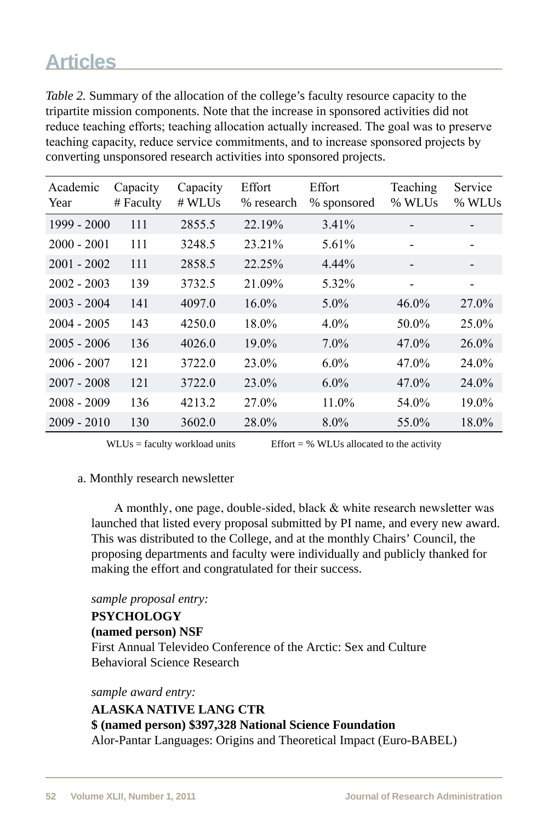*Table 2.* Summary of the allocation of the college's faculty resource capacity to the tripartite mission components. Note that the increase in sponsored activities did not reduce teaching efforts; teaching allocation actually increased. The goal was to preserve teaching capacity, reduce service commitments, and to increase sponsored projects by converting unsponsored research activities into sponsored projects.

| Academic<br>Year | Capacity<br># Faculty | Capacity<br># WLUs | Effort<br>% research | Effort<br>% sponsored | Teaching<br>% WLUs | Service<br>% WLUs |
|------------------|-----------------------|--------------------|----------------------|-----------------------|--------------------|-------------------|
| $1999 - 2000$    | 111                   | 2855.5             | 22.19%               | 3.41%                 |                    |                   |
| $2000 - 2001$    | 111                   | 3248.5             | 23.21%               | 5.61%                 |                    |                   |
| $2001 - 2002$    | 111                   | 2858.5             | 22.25%               | 4.44%                 |                    |                   |
| $2002 - 2003$    | 139                   | 3732.5             | 21.09%               | 5.32%                 |                    |                   |
| $2003 - 2004$    | 141                   | 4097.0             | $16.0\%$             | $5.0\%$               | $46.0\%$           | 27.0%             |
| $2004 - 2005$    | 143                   | 4250.0             | 18.0%                | $4.0\%$               | 50.0%              | 25.0%             |
| $2005 - 2006$    | 136                   | 4026.0             | 19.0%                | $7.0\%$               | 47.0%              | $26.0\%$          |
| $2006 - 2007$    | 121                   | 3722.0             | 23.0%                | $6.0\%$               | $47.0\%$           | 24.0%             |
| $2007 - 2008$    | 121                   | 3722.0             | $23.0\%$             | $6.0\%$               | 47.0%              | $24.0\%$          |
| $2008 - 2009$    | 136                   | 4213.2             | 27.0%                | 11.0%                 | 54.0%              | 19.0%             |
| $2009 - 2010$    | 130                   | 3602.0             | 28.0%                | $8.0\%$               | 55.0%              | 18.0%             |

 $WLUs = \text{faculty}$  workload units Effort = % WLUs allocated to the activity

#### a. Monthly research newsletter

A monthly, one page, double-sided, black & white research newsletter was launched that listed every proposal submitted by PI name, and every new award. This was distributed to the College, and at the monthly Chairs' Council, the proposing departments and faculty were individually and publicly thanked for making the effort and congratulated for their success.

#### *sample proposal entry:*

#### **PSYCHOLOGY (named person) NSF**  First Annual Televideo Conference of the Arctic: Sex and Culture Behavioral Science Research

*sample award entry:* 

## **ALASKA NATIVE LANG CTR \$ (named person) \$397,328 National Science Foundation**

Alor-Pantar Languages: Origins and Theoretical Impact (Euro-BABEL)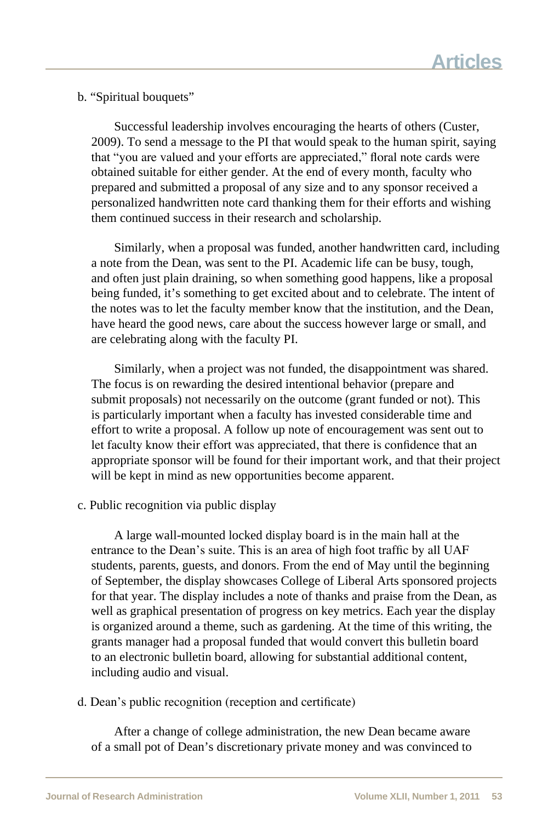b. "Spiritual bouquets"

Successful leadership involves encouraging the hearts of others (Custer, 2009). To send a message to the PI that would speak to the human spirit, saying that "you are valued and your efforts are appreciated," floral note cards were obtained suitable for either gender. At the end of every month, faculty who prepared and submitted a proposal of any size and to any sponsor received a personalized handwritten note card thanking them for their efforts and wishing them continued success in their research and scholarship.

Similarly, when a proposal was funded, another handwritten card, including a note from the Dean, was sent to the PI. Academic life can be busy, tough, and often just plain draining, so when something good happens, like a proposal being funded, it's something to get excited about and to celebrate. The intent of the notes was to let the faculty member know that the institution, and the Dean, have heard the good news, care about the success however large or small, and are celebrating along with the faculty PI.

Similarly, when a project was not funded, the disappointment was shared. The focus is on rewarding the desired intentional behavior (prepare and submit proposals) not necessarily on the outcome (grant funded or not). This is particularly important when a faculty has invested considerable time and effort to write a proposal. A follow up note of encouragement was sent out to let faculty know their effort was appreciated, that there is confidence that an appropriate sponsor will be found for their important work, and that their project will be kept in mind as new opportunities become apparent.

c. Public recognition via public display

A large wall-mounted locked display board is in the main hall at the entrance to the Dean's suite. This is an area of high foot traffic by all UAF students, parents, guests, and donors. From the end of May until the beginning of September, the display showcases College of Liberal Arts sponsored projects for that year. The display includes a note of thanks and praise from the Dean, as well as graphical presentation of progress on key metrics. Each year the display is organized around a theme, such as gardening. At the time of this writing, the grants manager had a proposal funded that would convert this bulletin board to an electronic bulletin board, allowing for substantial additional content, including audio and visual.

d. Dean's public recognition (reception and certificate)

After a change of college administration, the new Dean became aware of a small pot of Dean's discretionary private money and was convinced to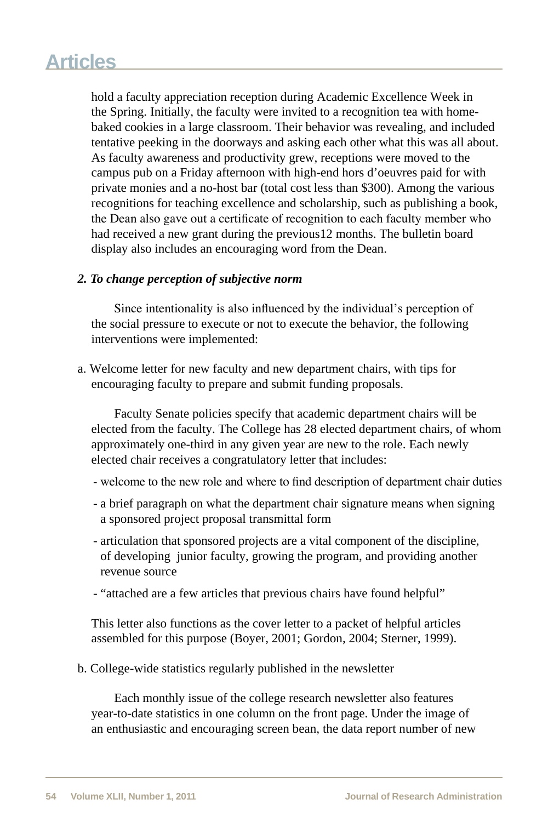hold a faculty appreciation reception during Academic Excellence Week in the Spring. Initially, the faculty were invited to a recognition tea with homebaked cookies in a large classroom. Their behavior was revealing, and included tentative peeking in the doorways and asking each other what this was all about. As faculty awareness and productivity grew, receptions were moved to the campus pub on a Friday afternoon with high-end hors d'oeuvres paid for with private monies and a no-host bar (total cost less than \$300). Among the various recognitions for teaching excellence and scholarship, such as publishing a book, the Dean also gave out a certificate of recognition to each faculty member who had received a new grant during the previous12 months. The bulletin board display also includes an encouraging word from the Dean.

#### *2. To change perception of subjective norm*

Since intentionality is also influenced by the individual's perception of the social pressure to execute or not to execute the behavior, the following interventions were implemented:

a. Welcome letter for new faculty and new department chairs, with tips for encouraging faculty to prepare and submit funding proposals.

Faculty Senate policies specify that academic department chairs will be elected from the faculty. The College has 28 elected department chairs, of whom approximately one-third in any given year are new to the role. Each newly elected chair receives a congratulatory letter that includes:

- welcome to the new role and where to find description of department chair duties
- a brief paragraph on what the department chair signature means when signing a sponsored project proposal transmittal form
- articulation that sponsored projects are a vital component of the discipline, of developing junior faculty, growing the program, and providing another revenue source
- "attached are a few articles that previous chairs have found helpful"

This letter also functions as the cover letter to a packet of helpful articles assembled for this purpose (Boyer, 2001; Gordon, 2004; Sterner, 1999).

b. College-wide statistics regularly published in the newsletter

Each monthly issue of the college research newsletter also features year-to-date statistics in one column on the front page. Under the image of an enthusiastic and encouraging screen bean, the data report number of new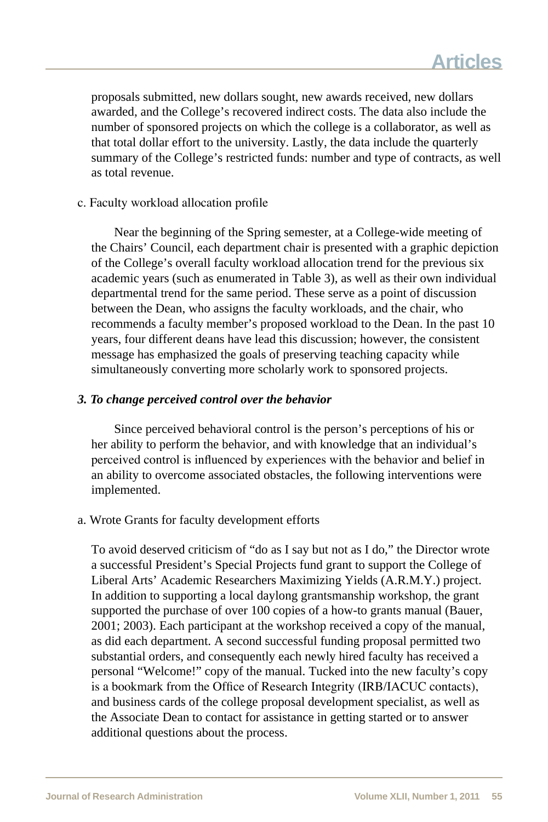proposals submitted, new dollars sought, new awards received, new dollars awarded, and the College's recovered indirect costs. The data also include the number of sponsored projects on which the college is a collaborator, as well as that total dollar effort to the university. Lastly, the data include the quarterly summary of the College's restricted funds: number and type of contracts, as well as total revenue.

#### c. Faculty workload allocation profile

Near the beginning of the Spring semester, at a College-wide meeting of the Chairs' Council, each department chair is presented with a graphic depiction of the College's overall faculty workload allocation trend for the previous six academic years (such as enumerated in Table 3), as well as their own individual departmental trend for the same period. These serve as a point of discussion between the Dean, who assigns the faculty workloads, and the chair, who recommends a faculty member's proposed workload to the Dean. In the past 10 years, four different deans have lead this discussion; however, the consistent message has emphasized the goals of preserving teaching capacity while simultaneously converting more scholarly work to sponsored projects.

#### *3. To change perceived control over the behavior*

Since perceived behavioral control is the person's perceptions of his or her ability to perform the behavior, and with knowledge that an individual's perceived control is influenced by experiences with the behavior and belief in an ability to overcome associated obstacles, the following interventions were implemented.

a. Wrote Grants for faculty development efforts

To avoid deserved criticism of "do as I say but not as I do," the Director wrote a successful President's Special Projects fund grant to support the College of Liberal Arts' Academic Researchers Maximizing Yields (A.R.M.Y.) project. In addition to supporting a local daylong grantsmanship workshop, the grant supported the purchase of over 100 copies of a how-to grants manual (Bauer, 2001; 2003). Each participant at the workshop received a copy of the manual, as did each department. A second successful funding proposal permitted two substantial orders, and consequently each newly hired faculty has received a personal "Welcome!" copy of the manual. Tucked into the new faculty's copy is a bookmark from the Office of Research Integrity (IRB/IACUC contacts), and business cards of the college proposal development specialist, as well as the Associate Dean to contact for assistance in getting started or to answer additional questions about the process.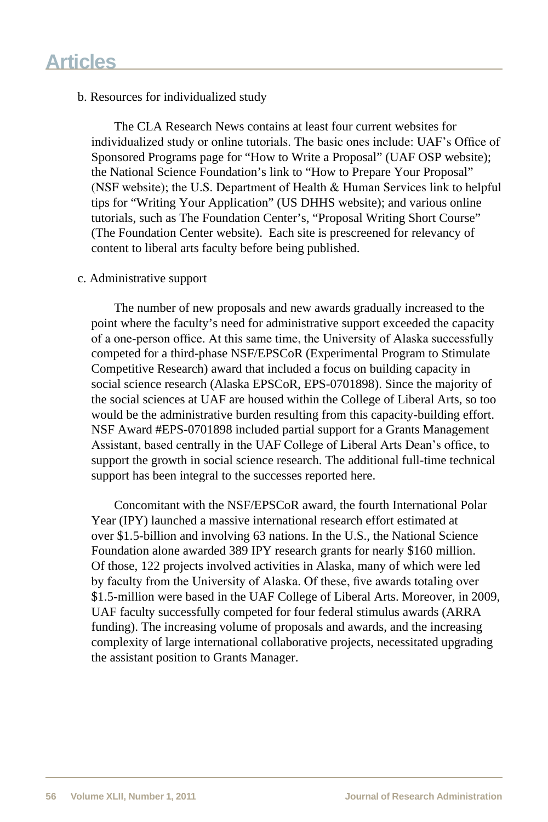#### b. Resources for individualized study

The CLA Research News contains at least four current websites for individualized study or online tutorials. The basic ones include: UAF's Office of Sponsored Programs page for "How to Write a Proposal" (UAF OSP website); the National Science Foundation's link to "How to Prepare Your Proposal" (NSF website); the U.S. Department of Health & Human Services link to helpful tips for "Writing Your Application" (US DHHS website); and various online tutorials, such as The Foundation Center's, "Proposal Writing Short Course" (The Foundation Center website). Each site is prescreened for relevancy of content to liberal arts faculty before being published.

#### c. Administrative support

The number of new proposals and new awards gradually increased to the point where the faculty's need for administrative support exceeded the capacity of a one-person office. At this same time, the University of Alaska successfully competed for a third-phase NSF/EPSCoR (Experimental Program to Stimulate Competitive Research) award that included a focus on building capacity in social science research (Alaska EPSCoR, EPS-0701898). Since the majority of the social sciences at UAF are housed within the College of Liberal Arts, so too would be the administrative burden resulting from this capacity-building effort. NSF Award #EPS-0701898 included partial support for a Grants Management Assistant, based centrally in the UAF College of Liberal Arts Dean's office, to support the growth in social science research. The additional full-time technical support has been integral to the successes reported here.

Concomitant with the NSF/EPSCoR award, the fourth International Polar Year (IPY) launched a massive international research effort estimated at over \$1.5-billion and involving 63 nations. In the U.S., the National Science Foundation alone awarded 389 IPY research grants for nearly \$160 million. Of those, 122 projects involved activities in Alaska, many of which were led by faculty from the University of Alaska. Of these, five awards totaling over \$1.5-million were based in the UAF College of Liberal Arts. Moreover, in 2009, UAF faculty successfully competed for four federal stimulus awards (ARRA funding). The increasing volume of proposals and awards, and the increasing complexity of large international collaborative projects, necessitated upgrading the assistant position to Grants Manager.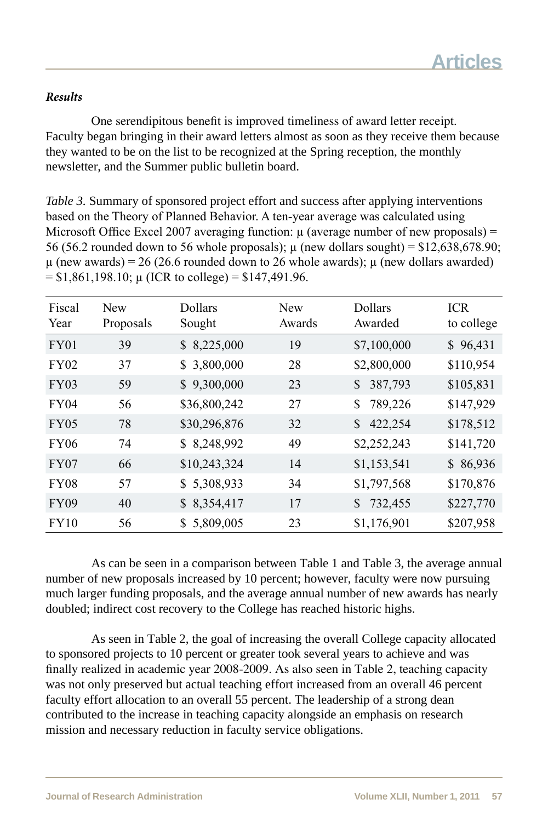#### *Results*

One serendipitous benefit is improved timeliness of award letter receipt. Faculty began bringing in their award letters almost as soon as they receive them because they wanted to be on the list to be recognized at the Spring reception, the monthly newsletter, and the Summer public bulletin board.

*Table 3.* Summary of sponsored project effort and success after applying interventions based on the Theory of Planned Behavior. A ten-year average was calculated using Microsoft Office Excel 2007 averaging function:  $\mu$  (average number of new proposals) = 56 (56.2 rounded down to 56 whole proposals);  $\mu$  (new dollars sought) = \$12,638,678.90;  $\mu$  (new awards) = 26 (26.6 rounded down to 26 whole awards);  $\mu$  (new dollars awarded)  $=$  \$1,861,198.10;  $\mu$  (ICR to college) = \$147,491.96.

| Fiscal<br>Year | <b>New</b><br>Proposals | Dollars<br>Sought | <b>New</b><br>Awards | Dollars<br>Awarded      | <b>ICR</b><br>to college |
|----------------|-------------------------|-------------------|----------------------|-------------------------|--------------------------|
| FY01           | 39                      | \$8,225,000       | 19                   | \$7,100,000             | \$96,431                 |
| FY02           | 37                      | \$3,800,000       | 28                   | \$2,800,000             | \$110,954                |
| FY03           | 59                      | \$9,300,000       | 23                   | 387,793<br>$\mathbb{S}$ | \$105,831                |
| FY04           | 56                      | \$36,800,242      | 27                   | 789,226<br>S.           | \$147,929                |
| <b>FY05</b>    | 78                      | \$30,296,876      | 32                   | 422,254<br>$\mathbb{S}$ | \$178,512                |
| <b>FY06</b>    | 74                      | \$8,248,992       | 49                   | \$2,252,243             | \$141,720                |
| FY07           | 66                      | \$10,243,324      | 14                   | \$1,153,541             | \$86,936                 |
| <b>FY08</b>    | 57                      | \$5,308,933       | 34                   | \$1,797,568             | \$170,876                |
| <b>FY09</b>    | 40                      | \$8,354,417       | 17                   | 732,455<br>S.           | \$227,770                |
| FY10           | 56                      | \$5,809,005       | 23                   | \$1,176,901             | \$207,958                |

As can be seen in a comparison between Table 1 and Table 3, the average annual number of new proposals increased by 10 percent; however, faculty were now pursuing much larger funding proposals, and the average annual number of new awards has nearly doubled; indirect cost recovery to the College has reached historic highs.

As seen in Table 2, the goal of increasing the overall College capacity allocated to sponsored projects to 10 percent or greater took several years to achieve and was finally realized in academic year 2008-2009. As also seen in Table 2, teaching capacity was not only preserved but actual teaching effort increased from an overall 46 percent faculty effort allocation to an overall 55 percent. The leadership of a strong dean contributed to the increase in teaching capacity alongside an emphasis on research mission and necessary reduction in faculty service obligations.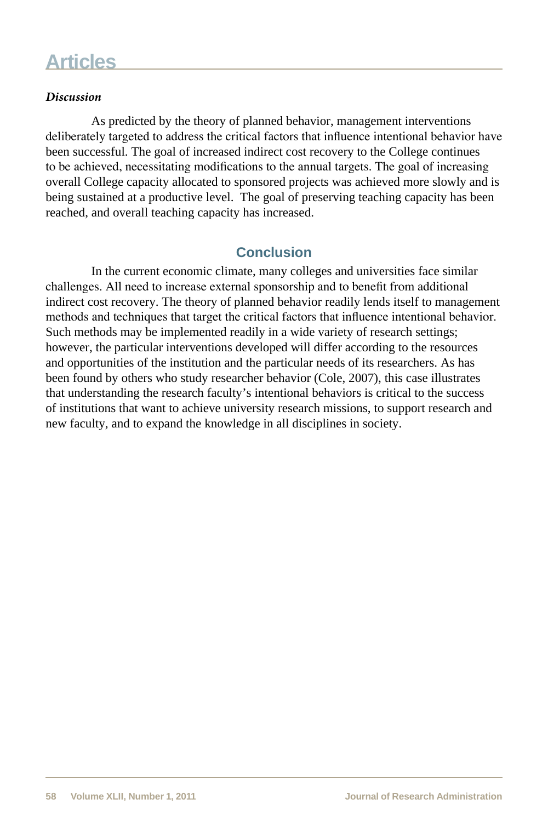#### *Discussion*

As predicted by the theory of planned behavior, management interventions deliberately targeted to address the critical factors that influence intentional behavior have been successful. The goal of increased indirect cost recovery to the College continues to be achieved, necessitating modifications to the annual targets. The goal of increasing overall College capacity allocated to sponsored projects was achieved more slowly and is being sustained at a productive level. The goal of preserving teaching capacity has been reached, and overall teaching capacity has increased.

## **Conclusion**

In the current economic climate, many colleges and universities face similar challenges. All need to increase external sponsorship and to benefit from additional indirect cost recovery. The theory of planned behavior readily lends itself to management methods and techniques that target the critical factors that influence intentional behavior. Such methods may be implemented readily in a wide variety of research settings; however, the particular interventions developed will differ according to the resources and opportunities of the institution and the particular needs of its researchers. As has been found by others who study researcher behavior (Cole, 2007), this case illustrates that understanding the research faculty's intentional behaviors is critical to the success of institutions that want to achieve university research missions, to support research and new faculty, and to expand the knowledge in all disciplines in society.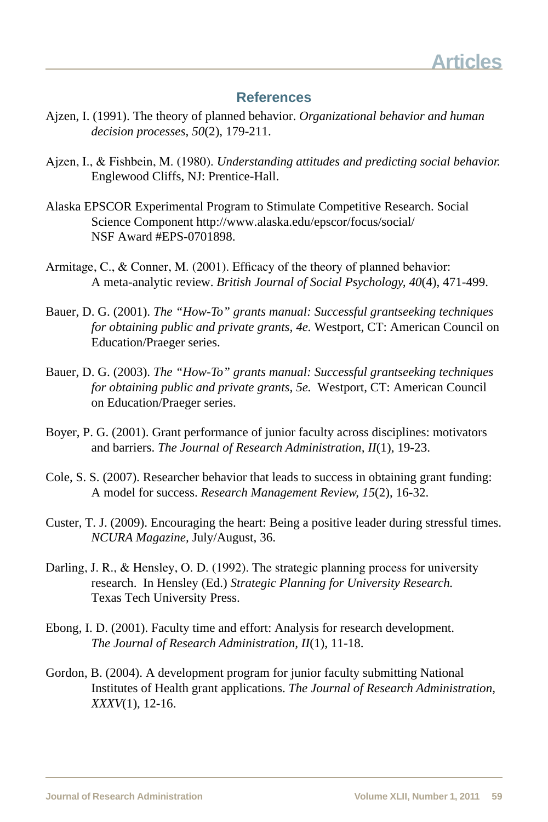### **References**

- Ajzen, I. (1991). The theory of planned behavior. *Organizational behavior and human decision processes, 50*(2), 179-211.
- Ajzen, I., & Fishbein, M. (1980). *Understanding attitudes and predicting social behavior.*  Englewood Cliffs, NJ: Prentice-Hall.
- Alaska EPSCOR Experimental Program to Stimulate Competitive Research. Social Science Component http://www.alaska.edu/epscor/focus/social/ NSF Award #EPS-0701898.
- Armitage, C., & Conner, M. (2001). Efficacy of the theory of planned behavior: A meta-analytic review. *British Journal of Social Psychology, 40*(4), 471-499.
- Bauer, D. G. (2001). *The "How-To" grants manual: Successful grantseeking techniques for obtaining public and private grants, 4e.* Westport, CT: American Council on Education/Praeger series.
- Bauer, D. G. (2003). *The "How-To" grants manual: Successful grantseeking techniques for obtaining public and private grants, 5e.* Westport, CT: American Council on Education/Praeger series.
- Boyer, P. G. (2001). Grant performance of junior faculty across disciplines: motivators and barriers. *The Journal of Research Administration, II*(1), 19-23.
- Cole, S. S. (2007). Researcher behavior that leads to success in obtaining grant funding: A model for success. *Research Management Review, 15*(2), 16-32.
- Custer, T. J. (2009). Encouraging the heart: Being a positive leader during stressful times. *NCURA Magazine,* July/August, 36.
- Darling, J. R., & Hensley, O. D. (1992). The strategic planning process for university research. In Hensley (Ed.) *Strategic Planning for University Research.*  Texas Tech University Press.
- Ebong, I. D. (2001). Faculty time and effort: Analysis for research development. *The Journal of Research Administration, II*(1), 11-18.
- Gordon, B. (2004). A development program for junior faculty submitting National Institutes of Health grant applications. *The Journal of Research Administration, XXXV*(1), 12-16.